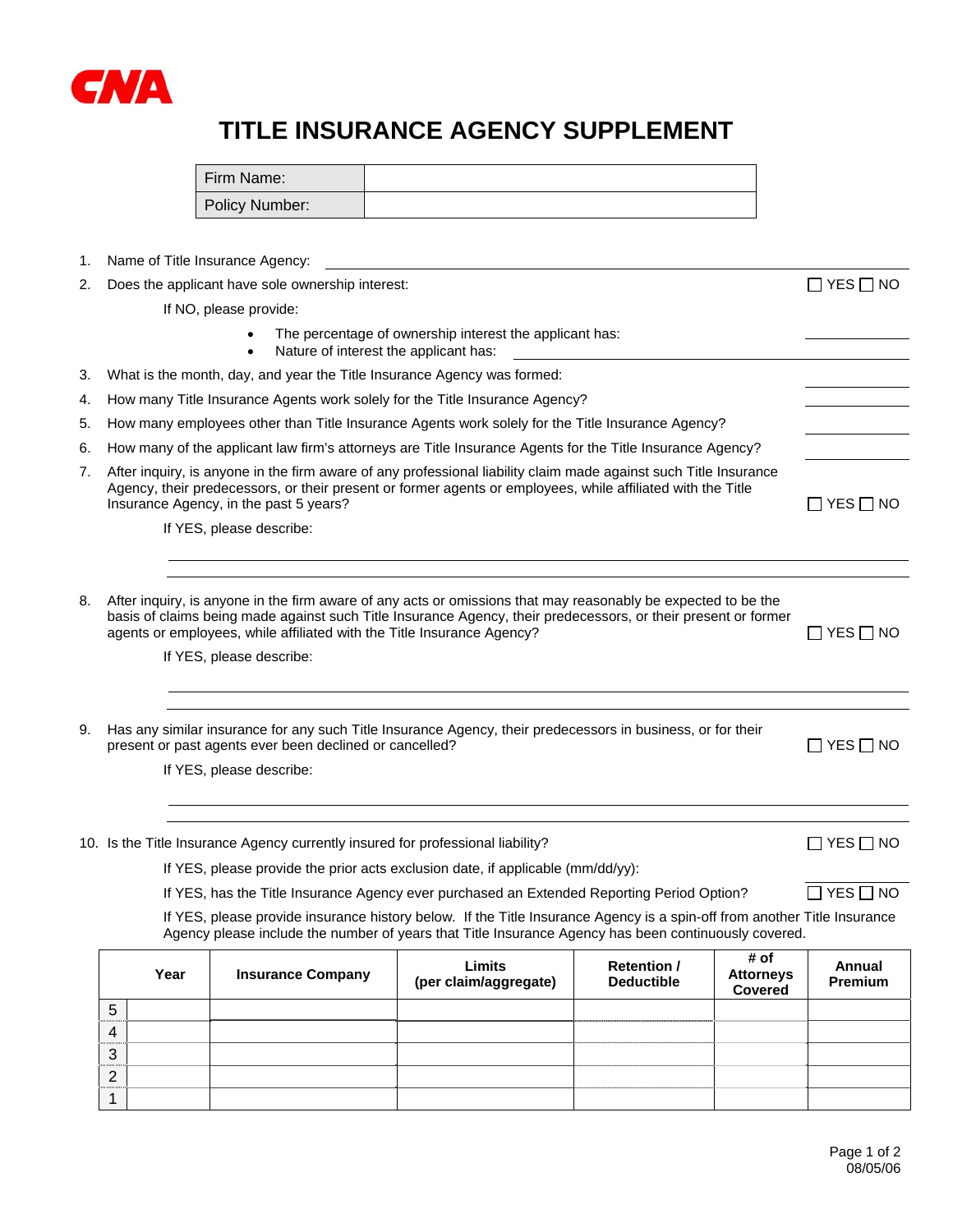

## **TITLE INSURANCE AGENCY SUPPLEMENT**

| Firm Name:     |  |
|----------------|--|
| Policy Number: |  |

1. Name of Title Insurance Agency:

|    | 2. Does the applicant have sole ownership interest:                                                                                                                                                                                                                                                                                   | $\Box$ YES $\Box$ NO      |
|----|---------------------------------------------------------------------------------------------------------------------------------------------------------------------------------------------------------------------------------------------------------------------------------------------------------------------------------------|---------------------------|
|    | If NO, please provide:                                                                                                                                                                                                                                                                                                                |                           |
|    | The percentage of ownership interest the applicant has:<br>Nature of interest the applicant has:<br>$\bullet$                                                                                                                                                                                                                         |                           |
| 3. | What is the month, day, and year the Title Insurance Agency was formed:                                                                                                                                                                                                                                                               |                           |
| 4. | How many Title Insurance Agents work solely for the Title Insurance Agency?                                                                                                                                                                                                                                                           |                           |
| 5. | How many employees other than Title Insurance Agents work solely for the Title Insurance Agency?                                                                                                                                                                                                                                      |                           |
| 6. | How many of the applicant law firm's attorneys are Title Insurance Agents for the Title Insurance Agency?                                                                                                                                                                                                                             |                           |
| 7. | After inquiry, is anyone in the firm aware of any professional liability claim made against such Title Insurance<br>Agency, their predecessors, or their present or former agents or employees, while affiliated with the Title<br>Insurance Agency, in the past 5 years?                                                             | $\Box$ YES $\Box$ NO      |
|    | If YES, please describe:                                                                                                                                                                                                                                                                                                              |                           |
|    |                                                                                                                                                                                                                                                                                                                                       |                           |
| 8. | After inquiry, is anyone in the firm aware of any acts or omissions that may reasonably be expected to be the<br>basis of claims being made against such Title Insurance Agency, their predecessors, or their present or former<br>agents or employees, while affiliated with the Title Insurance Agency?<br>If YES, please describe: | $\Box$ YES $\Box$ NO      |
| 9. | Has any similar insurance for any such Title Insurance Agency, their predecessors in business, or for their<br>present or past agents ever been declined or cancelled?<br>If YES, please describe:                                                                                                                                    | $\Box$ YES $\Box$ NO      |
|    | 10. Is the Title Insurance Agency currently insured for professional liability?                                                                                                                                                                                                                                                       | $\sqsupset$ YES $\Box$ NO |
|    | If YES, please provide the prior acts exclusion date, if applicable (mm/dd/yy):                                                                                                                                                                                                                                                       |                           |
|    | If YES, has the Title Insurance Agency ever purchased an Extended Reporting Period Option?                                                                                                                                                                                                                                            | $\Box$ YES $\Box$ NO      |
|    | If YES, please provide insurance history below. If the Title Insurance Agency is a spin-off from another Title Insurance<br>Agency please include the number of years that Title Insurance Agency has been continuously covered.                                                                                                      |                           |

|                | Year | <b>Insurance Company</b> | Limits<br>(per claim/aggregate) | <b>Retention /</b><br><b>Deductible</b> | # of<br><b>Attorneys</b><br>Covered | Annual<br>Premium |
|----------------|------|--------------------------|---------------------------------|-----------------------------------------|-------------------------------------|-------------------|
| 5<br>.         |      |                          |                                 |                                         |                                     |                   |
| $\overline{4}$ |      |                          |                                 |                                         |                                     |                   |
| <br>3          |      |                          |                                 |                                         |                                     |                   |
| 2              |      |                          |                                 |                                         |                                     |                   |
|                |      |                          |                                 |                                         |                                     |                   |